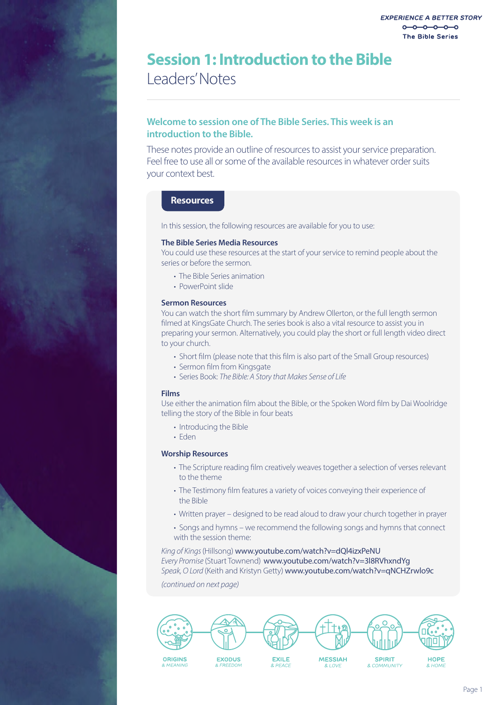## Leaders' Notes **Session 1: Introduction to the Bible**

### **Welcome to session one of The Bible Series. This week is an introduction to the Bible.**

These notes provide an outline of resources to assist your service preparation. Feel free to use all or some of the available resources in whatever order suits your context best.

### **Resources**

In this session, the following resources are available for you to use:

### **The Bible Series Media Resources**

You could use these resources at the start of your service to remind people about the series or before the sermon.

- The Bible Series animation
- PowerPoint slide

### **Sermon Resources**

You can watch the short film summary by Andrew Ollerton, or the full length sermon filmed at KingsGate Church. The series book is also a vital resource to assist you in preparing your sermon. Alternatively, you could play the short or full length video direct to your church.

- Short film (please note that this film is also part of the Small Group resources)
- Sermon film from Kingsgate
- Series Book: *The Bible: A Story that Makes Sense of Life*

### **Films**

Use either the animation film about the Bible, or the Spoken Word film by Dai Woolridge telling the story of the Bible in four beats

- Introducing the Bible
- Eden

### **Worship Resources**

- The Scripture reading film creatively weaves together a selection of verses relevant to the theme
- The Testimony film features a variety of voices conveying their experience of the Bible
- Written prayer designed to be read aloud to draw your church together in prayer
- Songs and hymns we recommend the following songs and hymns that connect with the session theme:

### *King of Kings* (Hillsong) www.youtube.com/watch?v=dQl4izxPeNU *Every Promise* (Stuart Townend)www.youtube.com/watch?v=3l8RVhxndYg *Speak, O Lord* (Keith and Kristyn Getty) www.youtube.com/watch?v=qNCHZrwlo9c

*(continued on next page)*